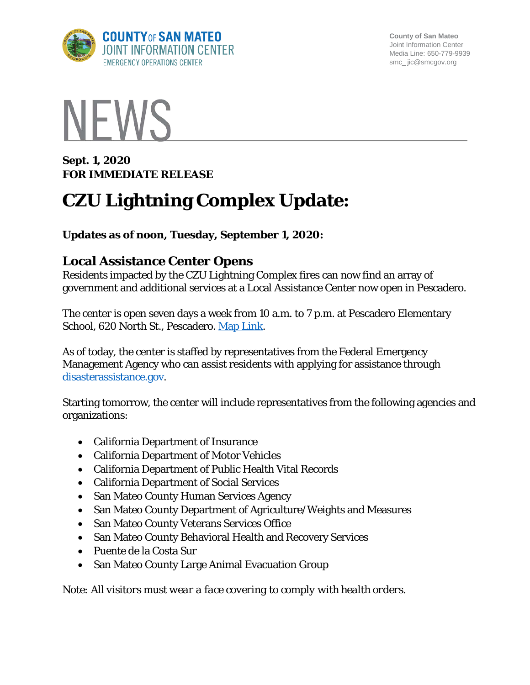

**County of San Mateo** Joint Information Center Media Line: 650-779-9939 smc\_ jic@smcgov.org



**Sept. 1, 2020 FOR IMMEDIATE RELEASE** 

# **CZU Lightning Complex Update:**

**Updates as of noon, Tuesday, September 1, 2020:**

## **Local Assistance Center Opens**

Residents impacted by the CZU Lightning Complex fires can now find an array of government and additional services at a Local Assistance Center now open in Pescadero.

The center is open seven days a week from 10 a.m. to 7 p.m. at Pescadero Elementary School, 620 North St., Pescadero. [Map Link.](https://goo.gl/maps/TSZwZVcwpuq6uyAF8)

As of today, the center is staffed by representatives from the Federal Emergency Management Agency who can assist residents with applying for assistance through disasterassistance.gov.

Starting tomorrow, the center will include representatives from the following agencies and organizations:

- California Department of Insurance
- California Department of Motor Vehicles
- California Department of Public Health Vital Records
- California Department of Social Services
- San Mateo County Human Services Agency
- San Mateo County Department of Agriculture/Weights and Measures
- San Mateo County Veterans Services Office
- San Mateo County Behavioral Health and Recovery Services
- Puente de la Costa Sur
- San Mateo County Large Animal Evacuation Group

*Note: All visitors must wear a face covering to comply with health orders.*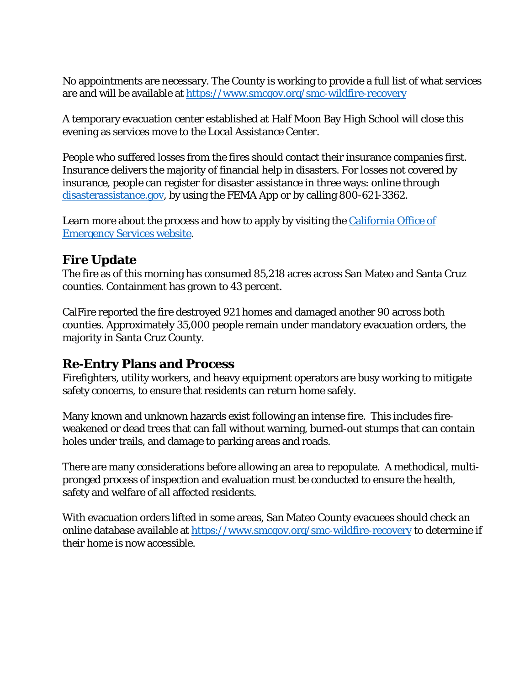No appointments are necessary. The County is working to provide a full list of what services are and will be available at<https://www.smcgov.org/smc-wildfire-recovery>

A temporary evacuation center established at Half Moon Bay High School will close this evening as services move to the Local Assistance Center.

People who suffered losses from the fires should contact their insurance companies first. Insurance delivers the majority of financial help in disasters. For losses not covered by insurance, people can register for disaster assistance in three ways: online through disasterassistance.gov, by using the FEMA App or by calling 800-621-3362.

Learn more about the process and how to apply by visiting the California Office of [Emergency Services website.](http://www.oesnews.com/register-with-fema0820/)

### **Fire Update**

The fire as of this morning has consumed 85,218 acres across San Mateo and Santa Cruz counties. Containment has grown to 43 percent.

CalFire reported the fire destroyed 921 homes and damaged another 90 across both counties. Approximately 35,000 people remain under mandatory evacuation orders, the majority in Santa Cruz County.

### **Re-Entry Plans and Process**

Firefighters, utility workers, and heavy equipment operators are busy working to mitigate safety concerns, to ensure that residents can return home safely.

Many known and unknown hazards exist following an intense fire. This includes fireweakened or dead trees that can fall without warning, burned-out stumps that can contain holes under trails, and damage to parking areas and roads.

There are many considerations before allowing an area to repopulate. A methodical, multipronged process of inspection and evaluation must be conducted to ensure the health, safety and welfare of all affected residents.

With evacuation orders lifted in some areas, San Mateo County evacuees should check an online database available at<https://www.smcgov.org/smc-wildfire-recovery> to determine if their home is now accessible.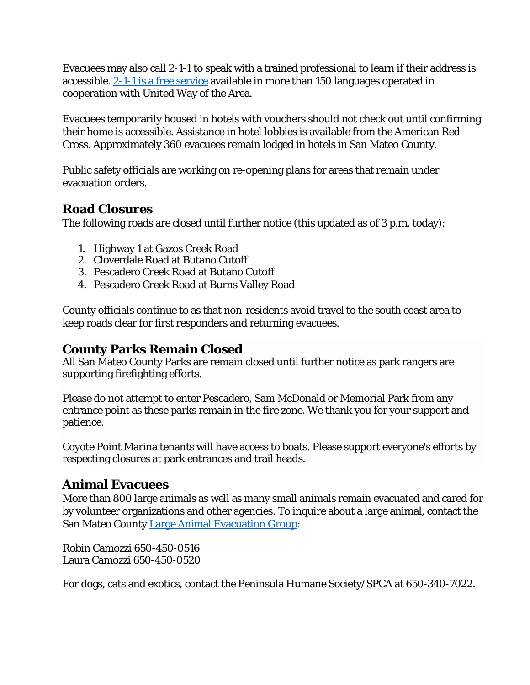Evacuees may also call 2-1-1 to speak with a trained professional to learn if their address is accessible. [2-1-1 is a free service](https://www.211bayarea.org/sanmateo/about-us/) available in more than 150 languages operated in cooperation with United Way of the Area.

Evacuees temporarily housed in hotels with vouchers should not check out until confirming their home is accessible. Assistance in hotel lobbies is available from the American Red Cross. Approximately 360 evacuees remain lodged in hotels in San Mateo County.

Public safety officials are working on re-opening plans for areas that remain under evacuation orders.

### **Road Closures**

The following roads are closed until further notice (this updated as of 3 p.m. today):

- 1. Highway 1 at Gazos Creek Road
- 2. Cloverdale Road at Butano Cutoff
- 3. Pescadero Creek Road at Butano Cutoff
- 4. Pescadero Creek Road at Burns Valley Road

County officials continue to as that non-residents avoid travel to the south coast area to keep roads clear for first responders and returning evacuees.

### **County Parks Remain Closed**

All San Mateo County Parks are remain closed until further notice as park rangers are supporting firefighting efforts.

Please do not attempt to enter Pescadero, Sam McDonald or Memorial Park from any entrance point as these parks remain in the fire zone. We thank you for your support and patience.

Coyote Point Marina tenants will have access to boats. Please support everyone's efforts by respecting closures at park entrances and trail heads.

### **Animal Evacuees**

More than 800 large animals as well as many small animals remain evacuated and cared for by volunteer organizations and other agencies. To inquire about a large animal, contact the San Mateo County [Large Animal Evacuation Group:](https://smclaeg.org/)

Robin Camozzi 650-450-0516 Laura Camozzi 650-450-0520

For dogs, cats and exotics, contact the Peninsula Humane Society/SPCA at 650-340-7022.